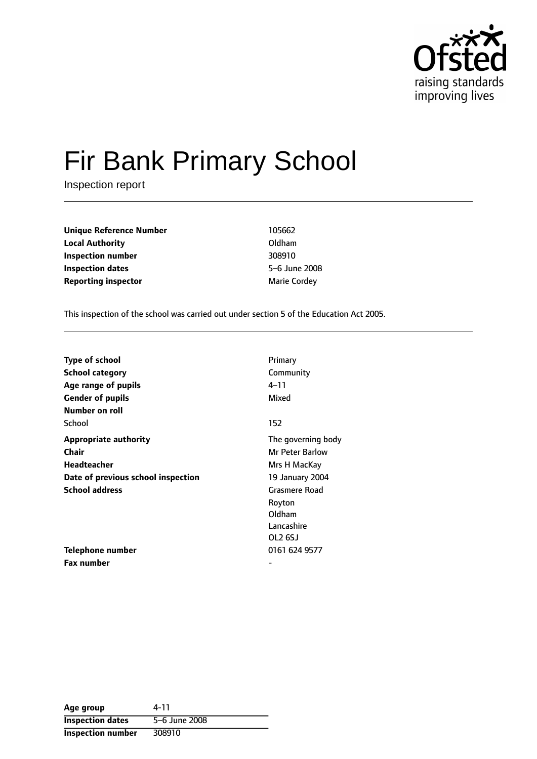

# Fir Bank Primary School

Inspection report

| <b>Unique Reference Number</b> | 105662              |
|--------------------------------|---------------------|
| <b>Local Authority</b>         | Oldham              |
| Inspection number              | 308910              |
| Inspection dates               | 5-6 June 200        |
| <b>Reporting inspector</b>     | <b>Marie Cordey</b> |

**Local Authority** Oldham **Inspection number** 308910 **Inspection dates** 56 June 2008

This inspection of the school was carried out under section 5 of the Education Act 2005.

| <b>Type of school</b>              | Primary            |
|------------------------------------|--------------------|
| <b>School category</b>             | Community          |
| Age range of pupils                | 4–11               |
| <b>Gender of pupils</b>            | Mixed              |
| Number on roll                     |                    |
| School                             | 152                |
| <b>Appropriate authority</b>       | The governing body |
| Chair                              | Mr Peter Barlow    |
| Headteacher                        | Mrs H MacKay       |
| Date of previous school inspection | 19 January 2004    |
| <b>School address</b>              | Grasmere Road      |
|                                    | Royton             |
|                                    | Oldham             |
|                                    | Lancashire         |
|                                    | OL2 6SJ            |
| Telephone number                   | 0161 624 9577      |
| <b>Fax number</b>                  |                    |

| Age group                | 4-11          |
|--------------------------|---------------|
| <b>Inspection dates</b>  | 5-6 June 2008 |
| <b>Inspection number</b> | 308910        |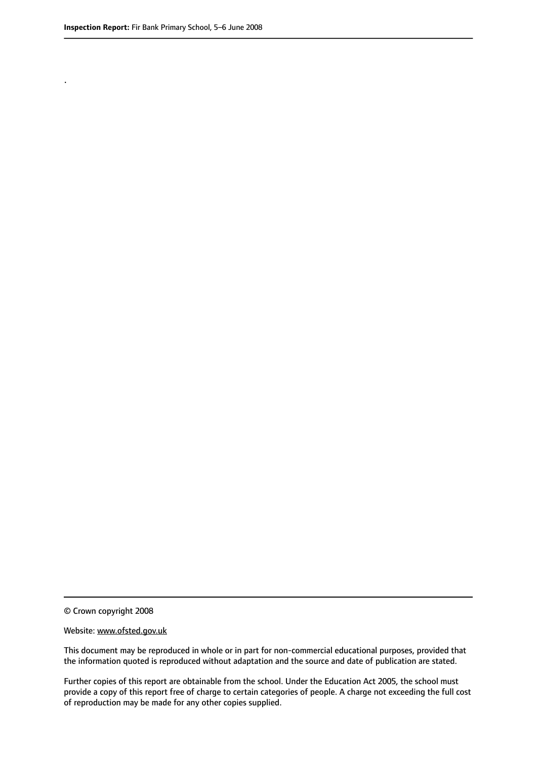.

© Crown copyright 2008

#### Website: www.ofsted.gov.uk

This document may be reproduced in whole or in part for non-commercial educational purposes, provided that the information quoted is reproduced without adaptation and the source and date of publication are stated.

Further copies of this report are obtainable from the school. Under the Education Act 2005, the school must provide a copy of this report free of charge to certain categories of people. A charge not exceeding the full cost of reproduction may be made for any other copies supplied.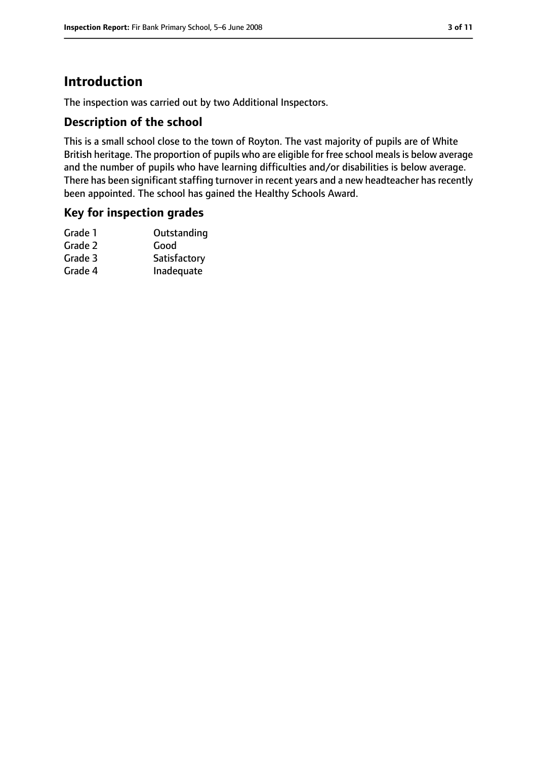# **Introduction**

The inspection was carried out by two Additional Inspectors.

#### **Description of the school**

This is a small school close to the town of Royton. The vast majority of pupils are of White British heritage. The proportion of pupils who are eligible for free school meals is below average and the number of pupils who have learning difficulties and/or disabilities is below average. There has been significant staffing turnover in recent years and a new headteacher has recently been appointed. The school has gained the Healthy Schools Award.

#### **Key for inspection grades**

| Outstanding  |
|--------------|
| Good         |
| Satisfactory |
| Inadequate   |
|              |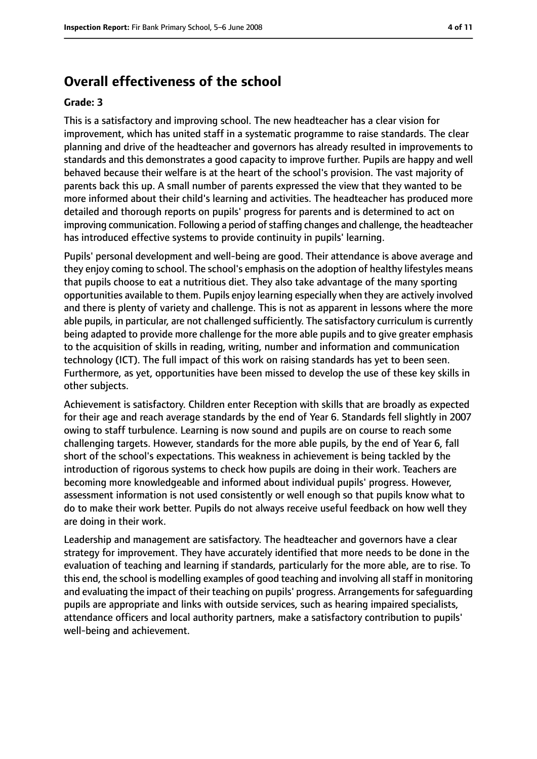# **Overall effectiveness of the school**

#### **Grade: 3**

This is a satisfactory and improving school. The new headteacher has a clear vision for improvement, which has united staff in a systematic programme to raise standards. The clear planning and drive of the headteacher and governors has already resulted in improvements to standards and this demonstrates a good capacity to improve further. Pupils are happy and well behaved because their welfare is at the heart of the school's provision. The vast majority of parents back this up. A small number of parents expressed the view that they wanted to be more informed about their child's learning and activities. The headteacher has produced more detailed and thorough reports on pupils' progress for parents and is determined to act on improving communication. Following a period of staffing changes and challenge, the headteacher has introduced effective systems to provide continuity in pupils' learning.

Pupils' personal development and well-being are good. Their attendance is above average and they enjoy coming to school. The school's emphasis on the adoption of healthy lifestyles means that pupils choose to eat a nutritious diet. They also take advantage of the many sporting opportunities available to them. Pupils enjoy learning especially when they are actively involved and there is plenty of variety and challenge. This is not as apparent in lessons where the more able pupils, in particular, are not challenged sufficiently. The satisfactory curriculum is currently being adapted to provide more challenge for the more able pupils and to give greater emphasis to the acquisition of skills in reading, writing, number and information and communication technology (ICT). The full impact of this work on raising standards has yet to been seen. Furthermore, as yet, opportunities have been missed to develop the use of these key skills in other subjects.

Achievement is satisfactory. Children enter Reception with skills that are broadly as expected for their age and reach average standards by the end of Year 6. Standards fell slightly in 2007 owing to staff turbulence. Learning is now sound and pupils are on course to reach some challenging targets. However, standards for the more able pupils, by the end of Year 6, fall short of the school's expectations. This weakness in achievement is being tackled by the introduction of rigorous systems to check how pupils are doing in their work. Teachers are becoming more knowledgeable and informed about individual pupils' progress. However, assessment information is not used consistently or well enough so that pupils know what to do to make their work better. Pupils do not always receive useful feedback on how well they are doing in their work.

Leadership and management are satisfactory. The headteacher and governors have a clear strategy for improvement. They have accurately identified that more needs to be done in the evaluation of teaching and learning if standards, particularly for the more able, are to rise. To this end, the school is modelling examples of good teaching and involving all staff in monitoring and evaluating the impact of their teaching on pupils' progress. Arrangements for safeguarding pupils are appropriate and links with outside services, such as hearing impaired specialists, attendance officers and local authority partners, make a satisfactory contribution to pupils' well-being and achievement.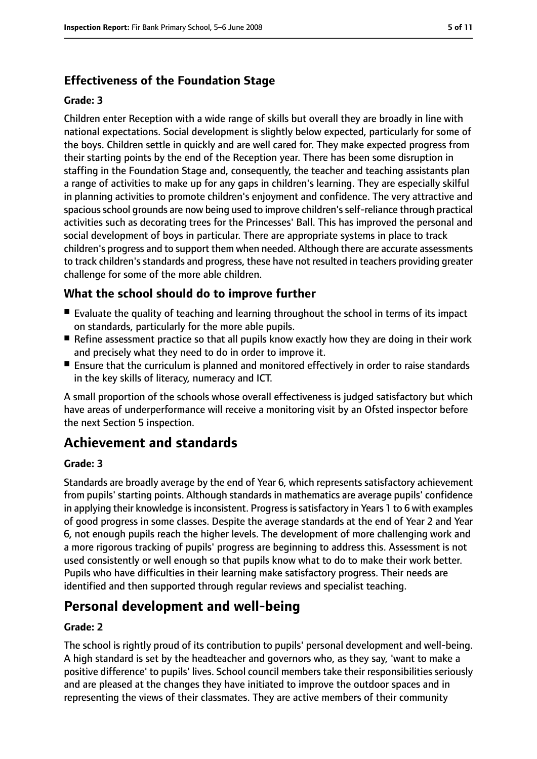#### **Effectiveness of the Foundation Stage**

#### **Grade: 3**

Children enter Reception with a wide range of skills but overall they are broadly in line with national expectations. Social development is slightly below expected, particularly for some of the boys. Children settle in quickly and are well cared for. They make expected progress from their starting points by the end of the Reception year. There has been some disruption in staffing in the Foundation Stage and, consequently, the teacher and teaching assistants plan a range of activities to make up for any gaps in children's learning. They are especially skilful in planning activities to promote children's enjoyment and confidence. The very attractive and spacious school grounds are now being used to improve children's self-reliance through practical activities such as decorating trees for the Princesses' Ball. This has improved the personal and social development of boys in particular. There are appropriate systems in place to track children's progress and to support them when needed. Although there are accurate assessments to track children's standards and progress, these have not resulted in teachers providing greater challenge for some of the more able children.

#### **What the school should do to improve further**

- Evaluate the quality of teaching and learning throughout the school in terms of its impact on standards, particularly for the more able pupils.
- Refine assessment practice so that all pupils know exactly how they are doing in their work and precisely what they need to do in order to improve it.
- Ensure that the curriculum is planned and monitored effectively in order to raise standards in the key skills of literacy, numeracy and ICT.

A small proportion of the schools whose overall effectiveness is judged satisfactory but which have areas of underperformance will receive a monitoring visit by an Ofsted inspector before the next Section 5 inspection.

# **Achievement and standards**

#### **Grade: 3**

Standards are broadly average by the end of Year 6, which represents satisfactory achievement from pupils' starting points. Although standards in mathematics are average pupils' confidence in applying their knowledge is inconsistent. Progress is satisfactory in Years 1 to 6 with examples of good progress in some classes. Despite the average standards at the end of Year 2 and Year 6, not enough pupils reach the higher levels. The development of more challenging work and a more rigorous tracking of pupils' progress are beginning to address this. Assessment is not used consistently or well enough so that pupils know what to do to make their work better. Pupils who have difficulties in their learning make satisfactory progress. Their needs are identified and then supported through regular reviews and specialist teaching.

### **Personal development and well-being**

#### **Grade: 2**

The school is rightly proud of its contribution to pupils' personal development and well-being. A high standard is set by the headteacher and governors who, as they say, 'want to make a positive difference' to pupils' lives. School council members take their responsibilities seriously and are pleased at the changes they have initiated to improve the outdoor spaces and in representing the views of their classmates. They are active members of their community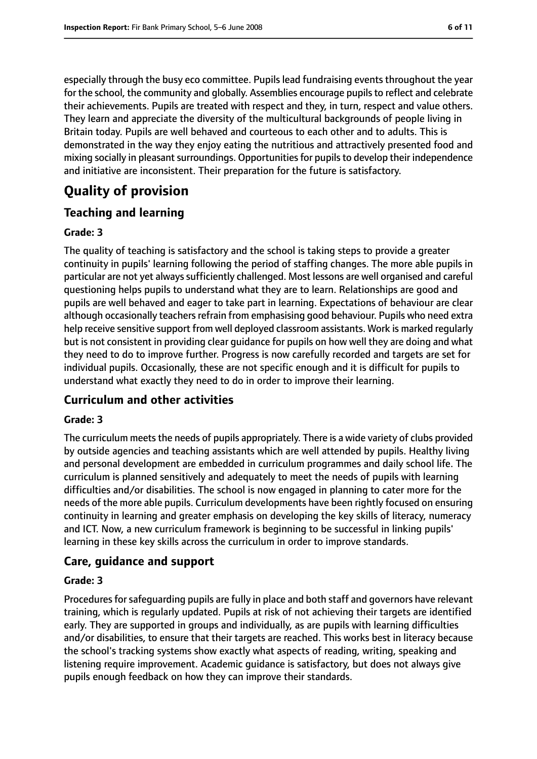especially through the busy eco committee. Pupils lead fundraising events throughout the year for the school, the community and globally. Assemblies encourage pupils to reflect and celebrate their achievements. Pupils are treated with respect and they, in turn, respect and value others. They learn and appreciate the diversity of the multicultural backgrounds of people living in Britain today. Pupils are well behaved and courteous to each other and to adults. This is demonstrated in the way they enjoy eating the nutritious and attractively presented food and mixing socially in pleasant surroundings. Opportunities for pupils to develop their independence and initiative are inconsistent. Their preparation for the future is satisfactory.

# **Quality of provision**

#### **Teaching and learning**

#### **Grade: 3**

The quality of teaching is satisfactory and the school is taking steps to provide a greater continuity in pupils' learning following the period of staffing changes. The more able pupils in particular are not yet always sufficiently challenged. Most lessons are well organised and careful questioning helps pupils to understand what they are to learn. Relationships are good and pupils are well behaved and eager to take part in learning. Expectations of behaviour are clear although occasionally teachers refrain from emphasising good behaviour. Pupils who need extra help receive sensitive support from well deployed classroom assistants. Work is marked regularly but is not consistent in providing clear guidance for pupils on how well they are doing and what they need to do to improve further. Progress is now carefully recorded and targets are set for individual pupils. Occasionally, these are not specific enough and it is difficult for pupils to understand what exactly they need to do in order to improve their learning.

#### **Curriculum and other activities**

#### **Grade: 3**

The curriculum meets the needs of pupils appropriately. There is a wide variety of clubs provided by outside agencies and teaching assistants which are well attended by pupils. Healthy living and personal development are embedded in curriculum programmes and daily school life. The curriculum is planned sensitively and adequately to meet the needs of pupils with learning difficulties and/or disabilities. The school is now engaged in planning to cater more for the needs of the more able pupils. Curriculum developments have been rightly focused on ensuring continuity in learning and greater emphasis on developing the key skills of literacy, numeracy and ICT. Now, a new curriculum framework is beginning to be successful in linking pupils' learning in these key skills across the curriculum in order to improve standards.

#### **Care, guidance and support**

#### **Grade: 3**

Procedures for safeguarding pupils are fully in place and both staff and governors have relevant training, which is regularly updated. Pupils at risk of not achieving their targets are identified early. They are supported in groups and individually, as are pupils with learning difficulties and/or disabilities, to ensure that their targets are reached. This works best in literacy because the school's tracking systems show exactly what aspects of reading, writing, speaking and listening require improvement. Academic guidance is satisfactory, but does not always give pupils enough feedback on how they can improve their standards.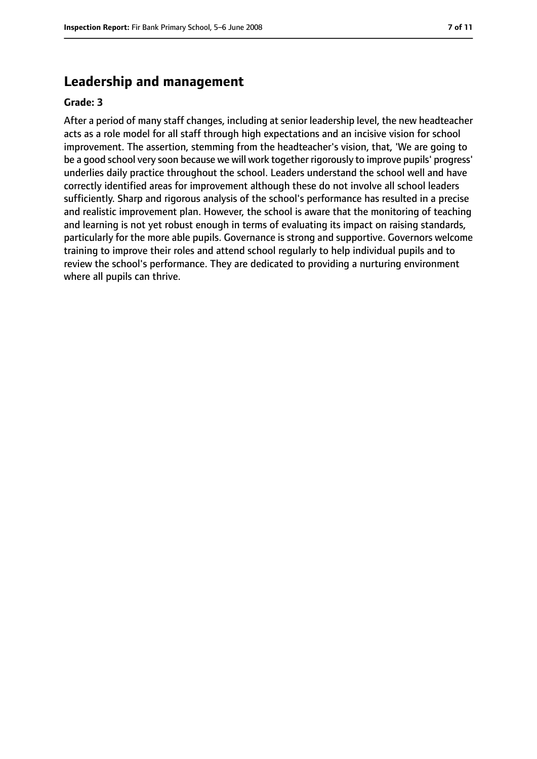#### **Leadership and management**

#### **Grade: 3**

After a period of many staff changes, including at senior leadership level, the new headteacher acts as a role model for all staff through high expectations and an incisive vision for school improvement. The assertion, stemming from the headteacher's vision, that, 'We are going to be a good school very soon because we will work together rigorously to improve pupils' progress' underlies daily practice throughout the school. Leaders understand the school well and have correctly identified areas for improvement although these do not involve all school leaders sufficiently. Sharp and rigorous analysis of the school's performance has resulted in a precise and realistic improvement plan. However, the school is aware that the monitoring of teaching and learning is not yet robust enough in terms of evaluating its impact on raising standards, particularly for the more able pupils. Governance is strong and supportive. Governors welcome training to improve their roles and attend school regularly to help individual pupils and to review the school's performance. They are dedicated to providing a nurturing environment where all pupils can thrive.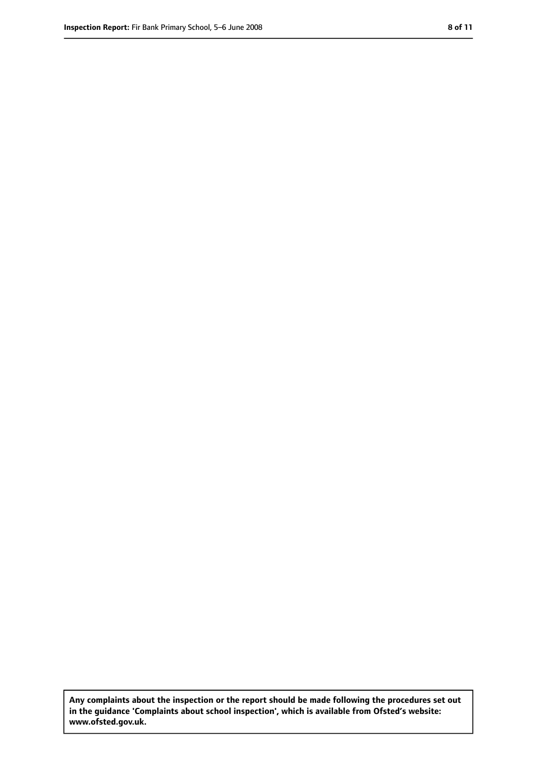**Any complaints about the inspection or the report should be made following the procedures set out in the guidance 'Complaints about school inspection', which is available from Ofsted's website: www.ofsted.gov.uk.**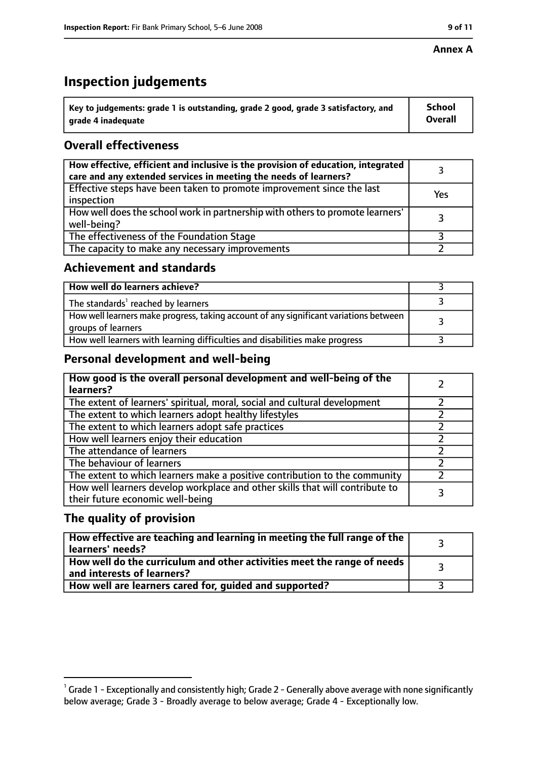#### **Annex A**

# **Inspection judgements**

| $^{\backprime}$ Key to judgements: grade 1 is outstanding, grade 2 good, grade 3 satisfactory, and | <b>School</b>  |
|----------------------------------------------------------------------------------------------------|----------------|
| arade 4 inadequate                                                                                 | <b>Overall</b> |

### **Overall effectiveness**

| How effective, efficient and inclusive is the provision of education, integrated<br>care and any extended services in meeting the needs of learners? |     |
|------------------------------------------------------------------------------------------------------------------------------------------------------|-----|
| Effective steps have been taken to promote improvement since the last<br>inspection                                                                  | Yes |
| How well does the school work in partnership with others to promote learners'<br>well-being?                                                         |     |
| The effectiveness of the Foundation Stage                                                                                                            |     |
| The capacity to make any necessary improvements                                                                                                      |     |

#### **Achievement and standards**

| How well do learners achieve?                                                                               |  |
|-------------------------------------------------------------------------------------------------------------|--|
| The standards <sup>1</sup> reached by learners                                                              |  |
| How well learners make progress, taking account of any significant variations between<br>groups of learners |  |
| How well learners with learning difficulties and disabilities make progress                                 |  |

#### **Personal development and well-being**

| How good is the overall personal development and well-being of the<br>learners?                                  |  |
|------------------------------------------------------------------------------------------------------------------|--|
| The extent of learners' spiritual, moral, social and cultural development                                        |  |
| The extent to which learners adopt healthy lifestyles                                                            |  |
| The extent to which learners adopt safe practices                                                                |  |
| How well learners enjoy their education                                                                          |  |
| The attendance of learners                                                                                       |  |
| The behaviour of learners                                                                                        |  |
| The extent to which learners make a positive contribution to the community                                       |  |
| How well learners develop workplace and other skills that will contribute to<br>their future economic well-being |  |

#### **The quality of provision**

| How effective are teaching and learning in meeting the full range of the<br>learners' needs?          |  |
|-------------------------------------------------------------------------------------------------------|--|
| How well do the curriculum and other activities meet the range of needs<br>and interests of learners? |  |
| How well are learners cared for, guided and supported?                                                |  |

 $^1$  Grade 1 - Exceptionally and consistently high; Grade 2 - Generally above average with none significantly below average; Grade 3 - Broadly average to below average; Grade 4 - Exceptionally low.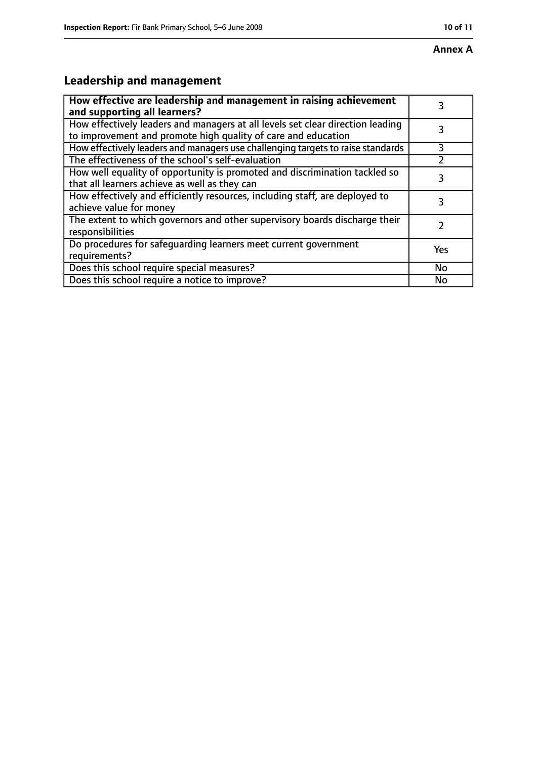# **Annex A**

# **Leadership and management**

| How effective are leadership and management in raising achievement<br>and supporting all learners?                                              | 3   |
|-------------------------------------------------------------------------------------------------------------------------------------------------|-----|
| How effectively leaders and managers at all levels set clear direction leading<br>to improvement and promote high quality of care and education |     |
| How effectively leaders and managers use challenging targets to raise standards                                                                 | 3   |
| The effectiveness of the school's self-evaluation                                                                                               |     |
| How well equality of opportunity is promoted and discrimination tackled so<br>that all learners achieve as well as they can                     | 3   |
| How effectively and efficiently resources, including staff, are deployed to<br>achieve value for money                                          | 3   |
| The extent to which governors and other supervisory boards discharge their<br>responsibilities                                                  |     |
| Do procedures for safequarding learners meet current government<br>requirements?                                                                | Yes |
| Does this school require special measures?                                                                                                      | No  |
| Does this school require a notice to improve?                                                                                                   | No  |